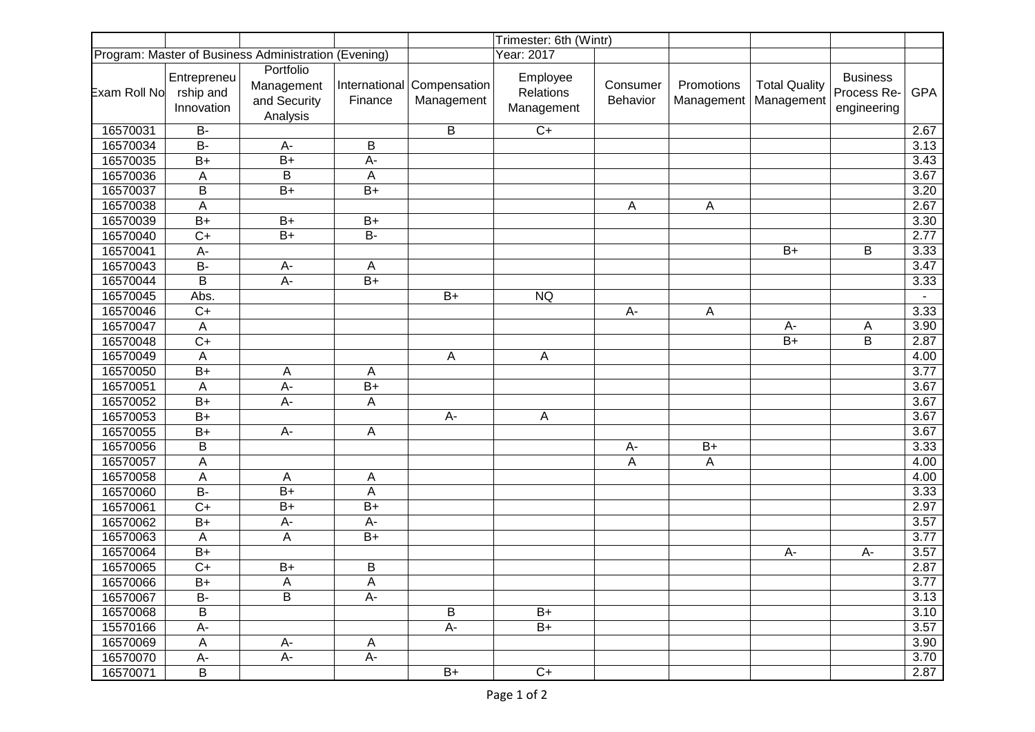|                                                      |                                        |                                                     |                 |                                          | Trimester: 6th (Wintr)              |                      |                          |                                    |                                               |            |
|------------------------------------------------------|----------------------------------------|-----------------------------------------------------|-----------------|------------------------------------------|-------------------------------------|----------------------|--------------------------|------------------------------------|-----------------------------------------------|------------|
| Program: Master of Business Administration (Evening) |                                        |                                                     |                 | Year: 2017                               |                                     |                      |                          |                                    |                                               |            |
| Exam Roll No                                         | Entrepreneu<br>rship and<br>Innovation | Portfolio<br>Management<br>and Security<br>Analysis | Finance         | International Compensation<br>Management | Employee<br>Relations<br>Management | Consumer<br>Behavior | Promotions<br>Management | <b>Total Quality</b><br>Management | <b>Business</b><br>Process Re-<br>engineering | <b>GPA</b> |
| 16570031                                             | <b>B-</b>                              |                                                     |                 | B                                        | $C+$                                |                      |                          |                                    |                                               | 2.67       |
| 16570034                                             | <b>B-</b>                              | A-                                                  | B               |                                          |                                     |                      |                          |                                    |                                               | 3.13       |
| 16570035                                             | $B+$                                   | $B+$                                                | A-              |                                          |                                     |                      |                          |                                    |                                               | 3.43       |
| 16570036                                             | A                                      | B                                                   | A               |                                          |                                     |                      |                          |                                    |                                               | 3.67       |
| 16570037                                             | B                                      | $B+$                                                | $B+$            |                                          |                                     |                      |                          |                                    |                                               | 3.20       |
| 16570038                                             | A                                      |                                                     |                 |                                          |                                     | A                    | A                        |                                    |                                               | 2.67       |
| 16570039                                             | $B+$                                   | $B+$                                                | $B+$            |                                          |                                     |                      |                          |                                    |                                               | 3.30       |
| 16570040                                             | $C+$                                   | $B+$                                                | <b>B-</b>       |                                          |                                     |                      |                          |                                    |                                               | 2.77       |
| 16570041                                             | $A -$                                  |                                                     |                 |                                          |                                     |                      |                          | $B+$                               | B                                             | 3.33       |
| 16570043                                             | $B -$                                  | A-                                                  | A               |                                          |                                     |                      |                          |                                    |                                               | 3.47       |
| 16570044                                             | B                                      | $A -$                                               | $\overline{B+}$ |                                          |                                     |                      |                          |                                    |                                               | 3.33       |
| 16570045                                             | Abs.                                   |                                                     |                 | $B+$                                     | <b>NQ</b>                           |                      |                          |                                    |                                               |            |
| 16570046                                             | $C+$                                   |                                                     |                 |                                          |                                     | A-                   | Α                        |                                    |                                               | 3.33       |
| 16570047                                             | A                                      |                                                     |                 |                                          |                                     |                      |                          | A-                                 | Α                                             | 3.90       |
| 16570048                                             | $\overline{C+}$                        |                                                     |                 |                                          |                                     |                      |                          | $B+$                               | B                                             | 2.87       |
| 16570049                                             | A                                      |                                                     |                 | Α                                        | Α                                   |                      |                          |                                    |                                               | 4.00       |
| 16570050                                             | $B+$                                   | Α                                                   | A               |                                          |                                     |                      |                          |                                    |                                               | 3.77       |
| 16570051                                             | A                                      | A-                                                  | $B+$            |                                          |                                     |                      |                          |                                    |                                               | 3.67       |
| 16570052                                             | $B+$                                   | $A -$                                               | A               |                                          |                                     |                      |                          |                                    |                                               | 3.67       |
| 16570053                                             | $B+$                                   |                                                     |                 | $A-$                                     | A                                   |                      |                          |                                    |                                               | 3.67       |
| 16570055                                             | $B+$                                   | A-                                                  | A               |                                          |                                     |                      |                          |                                    |                                               | 3.67       |
| 16570056                                             | B                                      |                                                     |                 |                                          |                                     | A-                   | $B+$                     |                                    |                                               | 3.33       |
| 16570057                                             | A                                      |                                                     |                 |                                          |                                     | A                    | A                        |                                    |                                               | 4.00       |
| 16570058                                             | $\boldsymbol{\mathsf{A}}$              | A                                                   | A               |                                          |                                     |                      |                          |                                    |                                               | 4.00       |
| 16570060                                             | $B -$                                  | $B+$                                                | A               |                                          |                                     |                      |                          |                                    |                                               | 3.33       |
| 16570061                                             | $C+$                                   | $B+$                                                | $B+$            |                                          |                                     |                      |                          |                                    |                                               | 2.97       |
| 16570062                                             | $B+$                                   | $A-$                                                | A-              |                                          |                                     |                      |                          |                                    |                                               | 3.57       |
| 16570063                                             | $\boldsymbol{\mathsf{A}}$              | A                                                   | $B+$            |                                          |                                     |                      |                          |                                    |                                               | 3.77       |
| 16570064                                             | $B+$                                   |                                                     |                 |                                          |                                     |                      |                          | A-                                 | A-                                            | 3.57       |
| 16570065                                             | $\overline{C+}$                        | $B+$                                                | $\sf B$         |                                          |                                     |                      |                          |                                    |                                               | 2.87       |
| 16570066                                             | $B+$                                   | Α                                                   | A               |                                          |                                     |                      |                          |                                    |                                               | 3.77       |
| 16570067                                             | <b>B-</b>                              | B                                                   | A-              |                                          |                                     |                      |                          |                                    |                                               | 3.13       |
| 16570068                                             | B                                      |                                                     |                 | B                                        | $B+$                                |                      |                          |                                    |                                               | 3.10       |
| 15570166                                             | A-                                     |                                                     |                 | $A-$                                     | $B+$                                |                      |                          |                                    |                                               | 3.57       |
| 16570069                                             | $\mathsf{A}$                           | A-                                                  | A               |                                          |                                     |                      |                          |                                    |                                               | 3.90       |
| 16570070                                             | A-                                     | A-                                                  | А-              |                                          |                                     |                      |                          |                                    |                                               | 3.70       |
| 16570071                                             | B                                      |                                                     |                 | B+                                       | $C+$                                |                      |                          |                                    |                                               | 2.87       |